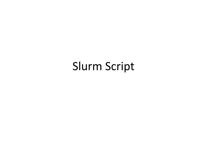#### Slurm Script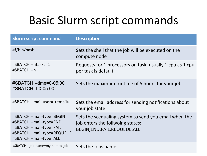## Basic Slurm script commands

| <b>Slurm script command</b>                                                                                                                | <b>Description</b>                                                                                                          |
|--------------------------------------------------------------------------------------------------------------------------------------------|-----------------------------------------------------------------------------------------------------------------------------|
| #!/bin/bash                                                                                                                                | Sets the shell that the job will be executed on the<br>compute node                                                         |
| #SBATCH -- ntasks=1<br>#SBATCH -- n1                                                                                                       | Requests for 1 processors on task, usually 1 cpu as 1 cpu<br>per task is default.                                           |
| #SBATCH --time=0-05:00<br>#SBATCH -t 0-05:00                                                                                               | Sets the maximum runtime of 5 hours for your job                                                                            |
| #SBATCH --mail-user= <email></email>                                                                                                       | Sets the email address for sending notifications about<br>your job state.                                                   |
| #SBATCH --mail-type=BEGIN<br>#SBATCH --mail-type=END<br>#SBATCH --mail-type=FAIL<br>#SBATCH --mail-type=REQUEUE<br>#SBATCH --mail-type=ALL | Sets the scedualing system to send you email when the<br>job enters the follwoing states:<br>BEGIN, END, FAIL, REQUEUE, ALL |
| #SBATCH --job-name=my-named-job                                                                                                            | Sets the Jobs name                                                                                                          |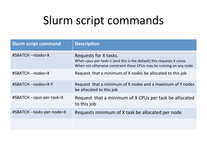| <b>Slurm script command</b> | <b>Description</b>                                                                                                                                                    |
|-----------------------------|-----------------------------------------------------------------------------------------------------------------------------------------------------------------------|
| #SBATCH -ntasks=X           | Requests for X tasks.<br>When cpus-per-task=1 (and this is the default) this requests X cores.<br>When not otherwise constraint these CPUs may be running on any node |
| #SBATCH --nodes=X           | Request that a minimum of X nodes be allocated to this job                                                                                                            |
| #SBATCH --nodes=X-Y         | Request that a minimum of X nodes and a maximum of Y nodes<br>be allocated to this job                                                                                |
| #SBATCH --cpus-per-task=X   | Request that a minimum of X CPUs per task be allocated<br>to this job                                                                                                 |
| #SBATCH --tasks-per-node=X  | Requests minimum of X task be allocated per node                                                                                                                      |
|                             |                                                                                                                                                                       |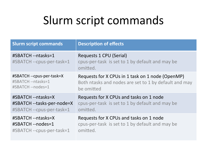| <b>Slurm script commands</b>                    | <b>Description of effects</b>                                                          |
|-------------------------------------------------|----------------------------------------------------------------------------------------|
| #SBATCH --ntasks=1<br>#SBATCH --cpus-per-task=1 | Requests 1 CPU (Serial)<br>cpus-per-task is set to 1 by default and may be<br>omitted. |
| #SBATCH --cpus-per-task=X                       | Requests for X CPUs in 1 task on 1 node (OpenMP)                                       |
| #SBATCH --ntasks=1                              | Both ntasks and nodes are set to 1 by default and may                                  |
| #SBATCH --nodes=1                               | be omitted                                                                             |
| #SBATCH --ntasks=X                              | Requests for X CPUs and tasks on 1 node                                                |
| #SBATCH --tasks-per-node=X                      | cpus-per-task is set to 1 by default and may be                                        |
| #SBATCH --cpus-per-task=1                       | omitted.                                                                               |
| #SBATCH --ntasks=X                              | Requests for X CPUs and tasks on 1 node                                                |
| #SBATCH --nodes=1                               | cpus-per-task is set to 1 by default and may be                                        |
| #SBATCH --cpus-per-task=1                       | omitted.                                                                               |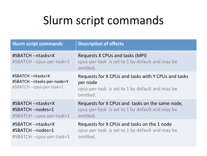| <b>Slurm script commands</b>                                                   | <b>Description of effects</b>                                                                                                  |
|--------------------------------------------------------------------------------|--------------------------------------------------------------------------------------------------------------------------------|
| #SBATCH --ntasks=X<br>#SBATCH --cpus-per-task=1                                | Requests X CPUs and tasks (MPI)<br>cpus-per-task is set to 1 by default and may be<br>omitted.                                 |
| #SBATCH --ntasks=X<br>#SBATCH --ntasks-per-node=Y<br>#SBATCH --cpus-per-task=1 | Requests for X CPUs and tasks with Y CPUs and tasks<br>per node<br>cpus-per-task is set to 1 by default and may be<br>omitted. |
| #SBATCH --ntasks=X<br>#SBATCH --nodes=1<br>#SBATCH --cpus-per-task=1           | Requests for X CPUs and tasks on the same node,<br>cpus-per-task is set to 1 by default and may be<br>omitted.                 |
| #SBATCH --ntasks=X<br>#SBATCH --nodes=1<br>#SBATCH --cpus-per-task=1           | Requests for X CPUs and tasks on the 1 node<br>cpus-per-task is set to 1 by default and may be<br>omitted.                     |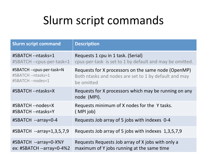| <b>Slurm script command</b>  | <b>Description</b>                                                   |
|------------------------------|----------------------------------------------------------------------|
| #SBATCH --ntasks=1           | Requests 1 cpu in 1 task. (Serial)                                   |
| #SBATCH --cpus-per-task=1    | cpus-per-task is set to 1 by default and may be omitted.             |
| #SBATCH --cpus-per-task=N    | Requests for X processors on the same node (OpenMP)                  |
| #SBATCH --ntasks=1           | Both ntasks and nodes are set to 1 by default and may                |
| #SBATCH --nodes=1            | be omitted                                                           |
| #SBATCH --ntasks=X           | Requests for X processors which may be running on any<br>node (MPI). |
| #SBATCH --nodes=X            | Requests minimum of X nodes for the Y tasks.                         |
| #SBATCH --ntasks=Y           | (MPIjob)                                                             |
| #SBATCH --array=0-4          | Requests Job array of 5 jobs with indexes 0-4                        |
| #SBATCH --array=1,3,5,7,9    | Requests Job array of 5 jobs with indexes 1,3,5,7,9                  |
| #SBATCH --array=0-X%Y        | Requests Requests Job array of X jobs with only a                    |
| ex: $\#SBATCH$ --array=0-4%2 | maximum of Y jobs running at the same time                           |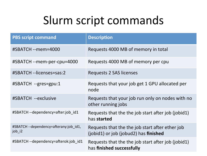| <b>PBS script command</b>                        | <b>Description</b>                                                                                  |
|--------------------------------------------------|-----------------------------------------------------------------------------------------------------|
| #SBATCH --mem=4000                               | Requests 4000 MB of memory in total                                                                 |
| #SBATCH --mem-per-cpu=4000                       | Requests 4000 MB of memory per cpu                                                                  |
| #SBATCH --licenses=sas:2                         | Requests 2 SAS licenses                                                                             |
| #SBATCH --gres=gpu:1                             | Requests that your job get 1 GPU allocated per<br>node                                              |
| #SBATCH --exclusive                              | Requests that your job run only on nodes with no<br>other running jobs                              |
| #SBATCH--dependency=after:job id1                | Requests that the the job start after job (jobid1)<br>has started                                   |
| #SBATCH --dependency=afterany:job_id1,<br>job_i2 | Requests that the the job start after ether job<br>$(iobid1)$ or job $(iobud2)$ has <b>finished</b> |
| #SBATCH--dependency=afterok:job id1              | Requests that the the job start after job (jobid1)<br>has <b>finished successfully</b>              |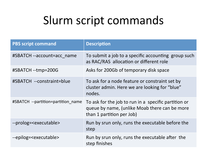| <b>PBS script command</b>           | <b>Description</b>                                                                                                                 |
|-------------------------------------|------------------------------------------------------------------------------------------------------------------------------------|
| #SBATCH --account=acc_name          | To submit a job to a specific accounting group such<br>as RAC/RAS allocation or different role                                     |
| #SBATCH --tmp=200G                  | Asks for 200Gb of temporary disk space                                                                                             |
| #SBATCH --constraint=blue           | To ask for a node feature or constraint set by<br>cluster admin. Here we are looking for "blue"<br>nodes.                          |
| #SBATCH --partition=partition name  | To ask for the job to run in a specific partition or<br>queue by name, (unlike Moab there can be more<br>than 1 partition per Job) |
| --prolog= <executable></executable> | Run by srun only, runs the executable before the<br>step                                                                           |
| --epilog= <executable></executable> | Run by srun only, runs the executable after the<br>step finishes                                                                   |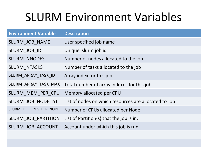# **SLURM Environment Variables**

| <b>Environment Variable</b> | <b>Description</b>                                    |
|-----------------------------|-------------------------------------------------------|
| SLURM JOB NAME              | User specified job name                               |
| SLURM JOB ID                | Unique slurm job id                                   |
| <b>SLURM NNODES</b>         | Number of nodes allocated to the job                  |
| <b>SLURM NTASKS</b>         | Number of tasks allocated to the job                  |
| SLURM_ARRAY_TASK_ID         | Array index for this job                              |
| SLURM_ARRAY_TASK_MAX        | Total number of array indexes for this job            |
| SLURM MEM PER CPU           | Memory allocated per CPU                              |
| SLURM JOB NODELIST          | List of nodes on which resources are allocated to Job |
| SLURM_JOB_CPUS_PER_NODE     | Number of CPUs allocated per Node                     |
| SLURM JOB PARTITION         | List of Partition(s) that the job is in.              |
| SLURM JOB ACCOUNT           | Account under which this job is run.                  |
|                             |                                                       |
|                             |                                                       |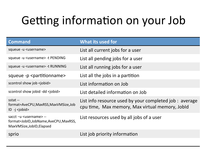# Getting information on your Job

| <b>Command</b>                                                                                          | What its used for                                                                                          |
|---------------------------------------------------------------------------------------------------------|------------------------------------------------------------------------------------------------------------|
| squeue -u <username></username>                                                                         | List all current jobs for a user                                                                           |
| squeue -u <username> -t PENDING</username>                                                              | List all pending jobs for a user                                                                           |
| squeue -u <username> -t RUNNING</username>                                                              | List all running jobs for a user                                                                           |
| squeue -p <partitionname></partitionname>                                                               | List all the jobs in a partition                                                                           |
| scontrol show job <jobid></jobid>                                                                       | List information on Job                                                                                    |
| scontrol show jobid -dd <jobid></jobid>                                                                 | List detailed information on Job                                                                           |
| sstat --<br>format=AveCPU,MaxRSS,MaxVMSize,Job<br>$ID -j$ < jobid >                                     | List info resource used by your completed job : average<br>cpu time, Max memory, Max virtual memory, Jobld |
| sacct -u <username> --<br/>format=JobID,JobName,AveCPU,MaxRSS,<br/>MaxVMSize, JobID, Elapsed</username> | List resources used by all jobs of a user                                                                  |
| sprio                                                                                                   | List job priority information                                                                              |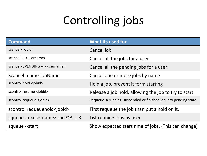# Controlling jobs

| <b>Command</b>                              | <b>What its used for</b>                                        |
|---------------------------------------------|-----------------------------------------------------------------|
| scancel <jobid></jobid>                     | Cancel job                                                      |
| scancel -u <username></username>            | Cancel all the jobs for a user                                  |
| scancel -t PENDING -u <username></username> | Cancel all the pending jobs for a user:                         |
| Scancel -name JobName                       | Cancel one or more jobs by name                                 |
| scontrol hold <jobid></jobid>               | Hold a job, prevent it form starting                            |
| scontrol resume <jobid></jobid>             | Release a job hold, allowing the job to try to start            |
| scontrol requeue <jobid></jobid>            | Requeue a running, suspended or finished job into pending state |
| scontrol requeuehold <jobid></jobid>        | First requeue the job than put a hold on it.                    |
| squeue -u <username> -ho %A -t R</username> | List running jobs by user                                       |
| squeue -- start                             | Show expected start time of jobs. (This can change)             |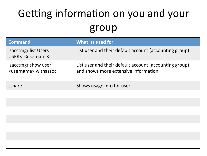### Getting information on you and your group

| <b>Command</b>                                        | What its used for                                                                              |
|-------------------------------------------------------|------------------------------------------------------------------------------------------------|
| sacctmgr list Users<br>USERS= <username></username>   | List user and their default account (accounting group)                                         |
| sacctmgr show user<br><username> withassoc</username> | List user and their default account (accounting group)<br>and shows more extensive information |
| sshare                                                | Shows usage info for user.                                                                     |
|                                                       |                                                                                                |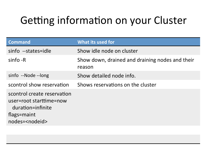#### Getting information on your Cluster

| <b>Command</b>                                                                                                         | What its used for                                         |
|------------------------------------------------------------------------------------------------------------------------|-----------------------------------------------------------|
| sinfo --states=idle                                                                                                    | Show idle node on cluster                                 |
| sinfo -R                                                                                                               | Show down, drained and draining nodes and their<br>reason |
| sinfo --Node --long                                                                                                    | Show detailed node info.                                  |
| scontrol show reservation                                                                                              | Shows reservations on the cluster                         |
| scontrol create reservation<br>user=root starttime=now<br>duration=infinite<br>flags=maint<br>nodes= <nodeid></nodeid> |                                                           |